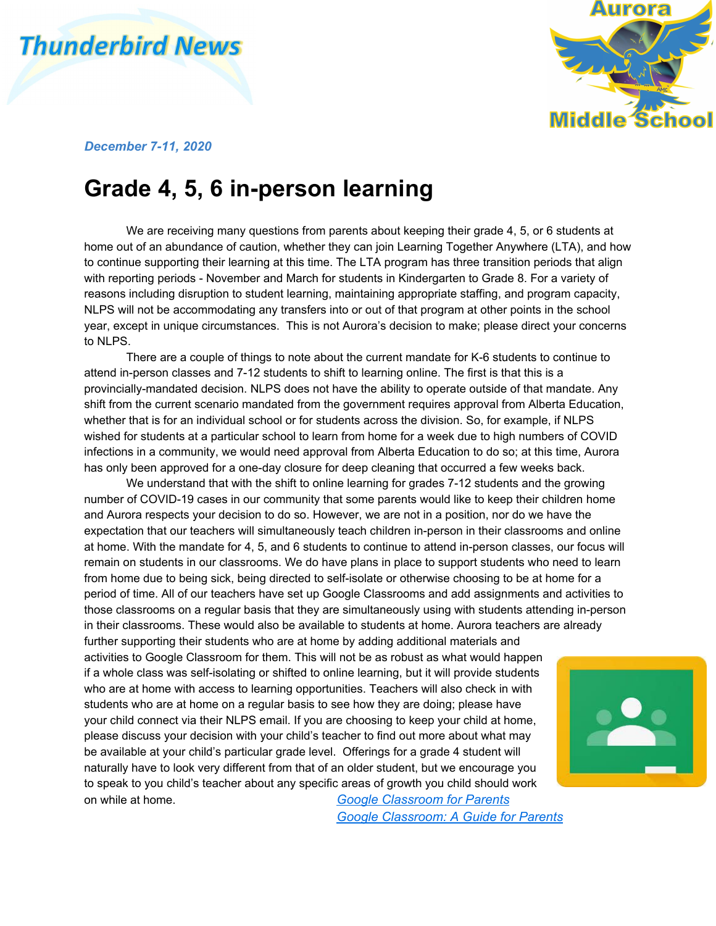# **Thunderbird News**



#### *December 7-11, 2020*

### **Grade 4, 5, 6 in-person learning**

We are receiving many questions from parents about keeping their grade 4, 5, or 6 students at home out of an abundance of caution, whether they can join Learning Together Anywhere (LTA), and how to continue supporting their learning at this time. The LTA program has three transition periods that align with reporting periods - November and March for students in Kindergarten to Grade 8. For a variety of reasons including disruption to student learning, maintaining appropriate staffing, and program capacity, NLPS will not be accommodating any transfers into or out of that program at other points in the school year, except in unique circumstances. This is not Aurora's decision to make; please direct your concerns to NLPS.

There are a couple of things to note about the current mandate for K-6 students to continue to attend in-person classes and 7-12 students to shift to learning online. The first is that this is a provincially-mandated decision. NLPS does not have the ability to operate outside of that mandate. Any shift from the current scenario mandated from the government requires approval from Alberta Education, whether that is for an individual school or for students across the division. So, for example, if NLPS wished for students at a particular school to learn from home for a week due to high numbers of COVID infections in a community, we would need approval from Alberta Education to do so; at this time, Aurora has only been approved for a one-day closure for deep cleaning that occurred a few weeks back.

We understand that with the shift to online learning for grades 7-12 students and the growing number of COVID-19 cases in our community that some parents would like to keep their children home and Aurora respects your decision to do so. However, we are not in a position, nor do we have the expectation that our teachers will simultaneously teach children in-person in their classrooms and online at home. With the mandate for 4, 5, and 6 students to continue to attend in-person classes, our focus will remain on students in our classrooms. We do have plans in place to support students who need to learn from home due to being sick, being directed to self-isolate or otherwise choosing to be at home for a period of time. All of our teachers have set up Google Classrooms and add assignments and activities to those classrooms on a regular basis that they are simultaneously using with students attending in-person in their classrooms. These would also be available to students at home. Aurora teachers are already

further supporting their students who are at home by adding additional materials and activities to Google Classroom for them. This will not be as robust as what would happen if a whole class was self-isolating or shifted to online learning, but it will provide students who are at home with access to learning opportunities. Teachers will also check in with students who are at home on a regular basis to see how they are doing; please have your child connect via their NLPS email. If you are choosing to keep your child at home, please discuss your decision with your child's teacher to find out more about what may be available at your child's particular grade level. Offerings for a grade 4 student will naturally have to look very different from that of an older student, but we encourage you to speak to you child's teacher about any specific areas of growth you child should work on while at home. *Google [Classroom](https://youtu.be/hGo1cIL1U9o) for Parents*

*Google [Classroom:](https://youtu.be/Rx0hjhyufms) A Guide for Parents*

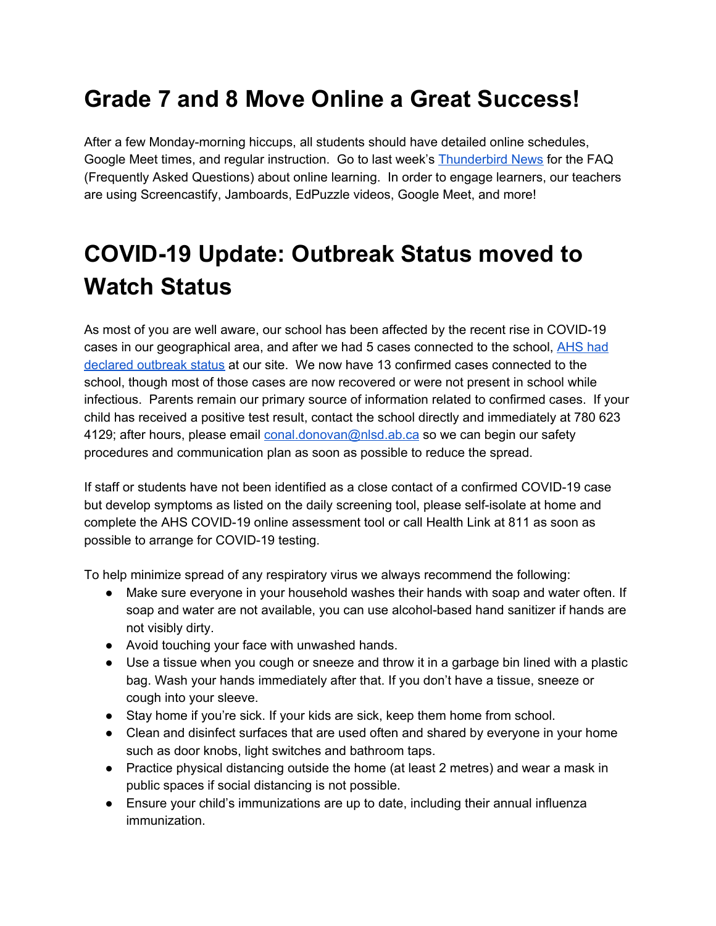# **Grade 7 and 8 Move Online a Great Success!**

After a few Monday-morning hiccups, all students should have detailed online schedules, Google Meet times, and regular instruction. Go to last week's [Thunderbird](https://www.auroramiddleschool.ca/download/314523) News for the FAQ (Frequently Asked Questions) about online learning. In order to engage learners, our teachers are using Screencastify, Jamboards, EdPuzzle videos, Google Meet, and more!

# **COVID-19 Update: Outbreak Status moved to Watch Status**

As most of you are well aware, our school has been affected by the recent rise in COVID-19 cases in our geographical area, and after we had 5 cases connected to the school, [AHS](http://www.auroramiddleschool.ca/download/314497) had declared [outbreak](http://www.auroramiddleschool.ca/download/314497) status at our site. We now have 13 confirmed cases connected to the school, though most of those cases are now recovered or were not present in school while infectious. Parents remain our primary source of information related to confirmed cases. If your child has received a positive test result, contact the school directly and immediately at 780 623 4129; after hours, please email [conal.donovan@nlsd.ab.ca](mailto:conal.donovan@nlsd.ab.ca) so we can begin our safety procedures and communication plan as soon as possible to reduce the spread.

If staff or students have not been identified as a close contact of a confirmed COVID-19 case but develop symptoms as listed on the daily screening tool, please self-isolate at home and complete the AHS COVID-19 online assessment tool or call Health Link at 811 as soon as possible to arrange for COVID-19 testing.

To help minimize spread of any respiratory virus we always recommend the following:

- Make sure everyone in your household washes their hands with soap and water often. If soap and water are not available, you can use alcohol-based hand sanitizer if hands are not visibly dirty.
- Avoid touching your face with unwashed hands.
- Use a tissue when you cough or sneeze and throw it in a garbage bin lined with a plastic bag. Wash your hands immediately after that. If you don't have a tissue, sneeze or cough into your sleeve.
- Stay home if you're sick. If your kids are sick, keep them home from school.
- Clean and disinfect surfaces that are used often and shared by everyone in your home such as door knobs, light switches and bathroom taps.
- Practice physical distancing outside the home (at least 2 metres) and wear a mask in public spaces if social distancing is not possible.
- Ensure your child's immunizations are up to date, including their annual influenza immunization.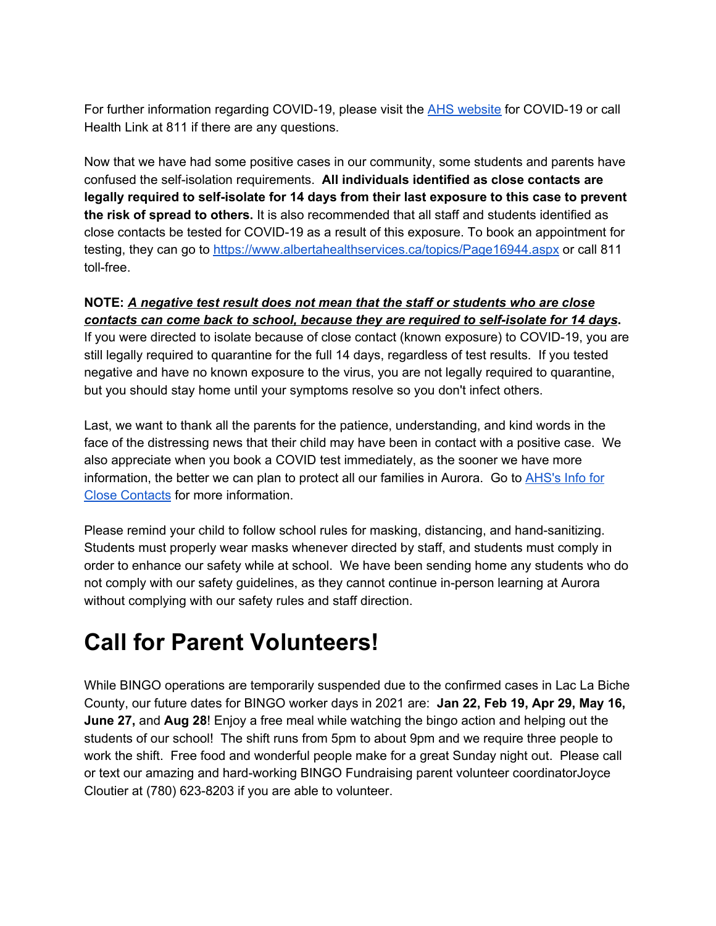For further information regarding COVID-19, please visit the AHS [website](https://www.albertahealthservices.ca/default.aspx) for COVID-19 or call Health Link at 811 if there are any questions.

Now that we have had some positive cases in our community, some students and parents have confused the self-isolation requirements. **All individuals identified as close contacts are legally required to self-isolate for 14 days from their last exposure to this case to prevent the risk of spread to others.** It is also recommended that all staff and students identified as close contacts be tested for COVID-19 as a result of this exposure. To book an appointment for testing, they can go to <https://www.albertahealthservices.ca/topics/Page16944.aspx> or call 811 toll-free.

#### **NOTE:** *A negative test result does not mean that the staff or students who are close contacts can come back to school, because they are required to self-isolate for 14 days***.**

If you were directed to isolate because of close contact (known exposure) to COVID-19, you are still legally required to quarantine for the full 14 days, regardless of test results. If you tested negative and have no known exposure to the virus, you are not legally required to quarantine, but you should stay home until your symptoms resolve so you don't infect others.

Last, we want to thank all the parents for the patience, understanding, and kind words in the face of the distressing news that their child may have been in contact with a positive case. We also appreciate when you book a COVID test immediately, as the sooner we have more information, the better we can plan to protect all our families in Aurora. Go to [AHS's](https://www.albertahealthservices.ca/topics/Page17221.aspx) Info for Close [Contacts](https://www.albertahealthservices.ca/topics/Page17221.aspx) for more information.

Please remind your child to follow school rules for masking, distancing, and hand-sanitizing. Students must properly wear masks whenever directed by staff, and students must comply in order to enhance our safety while at school. We have been sending home any students who do not comply with our safety guidelines, as they cannot continue in-person learning at Aurora without complying with our safety rules and staff direction.

# **Call for Parent Volunteers!**

While BINGO operations are temporarily suspended due to the confirmed cases in Lac La Biche County, our future dates for BINGO worker days in 2021 are: **Jan 22, Feb 19, Apr 29, May 16, June 27,** and **Aug 28**! Enjoy a free meal while watching the bingo action and helping out the students of our school! The shift runs from 5pm to about 9pm and we require three people to work the shift. Free food and wonderful people make for a great Sunday night out. Please call or text our amazing and hard-working BINGO Fundraising parent volunteer coordinatorJoyce Cloutier at (780) 623-8203 if you are able to volunteer.